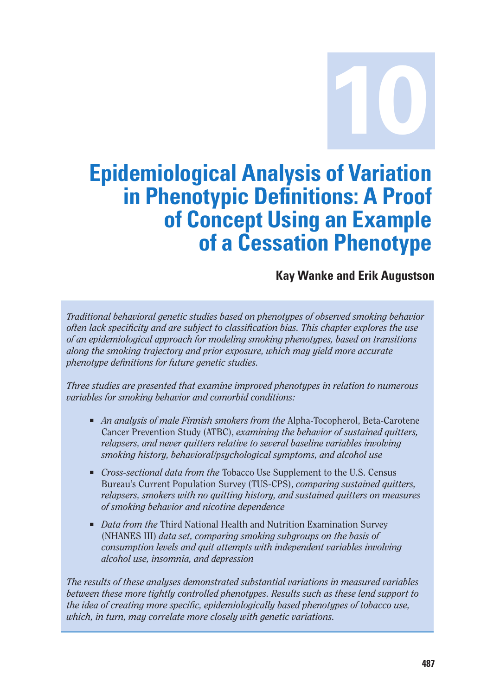**10**

# **Epidemiological Analysis of Variation in Phenotypic Definitions: A Proof of Concept Using an Example of a Cessation Phenotype**

**Kay Wanke and Erik Augustson** 

*Traditional behavioral genetic studies based on phenotypes of observed smoking behavior often lack specificity and are subject to classification bias. This chapter explores the use of an epidemiological approach for modeling smoking phenotypes, based on transitions along the smoking trajectory and prior exposure, which may yield more accurate phenotype definitions for future genetic studies.* 

*Three studies are presented that examine improved phenotypes in relation to numerous variables for smoking behavior and comorbid conditions:* 

- *An analysis of male Finnish smokers from the Alpha-Tocopherol, Beta-Carotene* Cancer Prevention Study (ATBC), *examining the behavior of sustained quitters, relapsers, and never quitters relative to several baseline variables involving smoking history, behavioral/psychological symptoms, and alcohol use*
- *Cross-sectional data from the* Tobacco Use Supplement to the U.S. Census Bureau's Current Population Survey (TUS-CPS), *comparing sustained quitters, relapsers, smokers with no quitting history, and sustained quitters on measures of smoking behavior and nicotine dependence*
- *Data from the* Third National Health and Nutrition Examination Survey (NHANES III) *data set, comparing smoking subgroups on the basis of consumption levels and quit attempts with independent variables involving alcohol use, insomnia, and depression*

*The results of these analyses demonstrated substantial variations in measured variables between these more tightly controlled phenotypes. Results such as these lend support to the idea of creating more specific, epidemiologically based phenotypes of tobacco use, which, in turn, may correlate more closely with genetic variations.*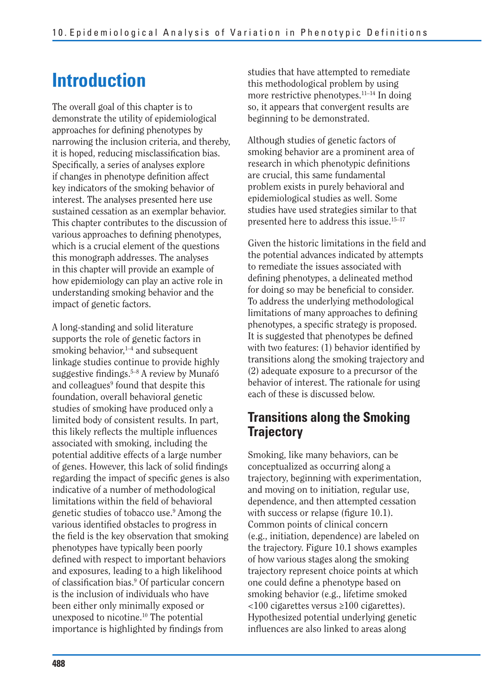# **Introduction**

The overall goal of this chapter is to demonstrate the utility of epidemiological approaches for defining phenotypes by narrowing the inclusion criteria, and thereby, it is hoped, reducing misclassification bias. Specifically, a series of analyses explore if changes in phenotype definition affect key indicators of the smoking behavior of interest. The analyses presented here use sustained cessation as an exemplar behavior. This chapter contributes to the discussion of various approaches to defining phenotypes, which is a crucial element of the questions this monograph addresses. The analyses in this chapter will provide an example of how epidemiology can play an active role in understanding smoking behavior and the impact of genetic factors.

A long-standing and solid literature supports the role of genetic factors in smoking behavior, $1-4$  and subsequent linkage studies continue to provide highly suggestive findings. $5-8$  A review by Munafó and colleagues<sup>9</sup> found that despite this foundation, overall behavioral genetic studies of smoking have produced only a limited body of consistent results. In part, this likely reflects the multiple influences associated with smoking, including the potential additive effects of a large number of genes. However, this lack of solid findings regarding the impact of specific genes is also indicative of a number of methodological limitations within the field of behavioral genetic studies of tobacco use.9 Among the various identified obstacles to progress in the field is the key observation that smoking phenotypes have typically been poorly defined with respect to important behaviors and exposures, leading to a high likelihood of classification bias.<sup>9</sup> Of particular concern is the inclusion of individuals who have been either only minimally exposed or unexposed to nicotine.10 The potential importance is highlighted by findings from

studies that have attempted to remediate this methodological problem by using more restrictive phenotypes.<sup>11–14</sup> In doing so, it appears that convergent results are beginning to be demonstrated.

Although studies of genetic factors of smoking behavior are a prominent area of research in which phenotypic definitions are crucial, this same fundamental problem exists in purely behavioral and epidemiological studies as well. Some studies have used strategies similar to that presented here to address this issue.15–17

Given the historic limitations in the field and the potential advances indicated by attempts to remediate the issues associated with defining phenotypes, a delineated method for doing so may be beneficial to consider. To address the underlying methodological limitations of many approaches to defining phenotypes, a specific strategy is proposed. It is suggested that phenotypes be defined with two features:  $(1)$  behavior identified by transitions along the smoking trajectory and (2) adequate exposure to a precursor of the behavior of interest. The rationale for using each of these is discussed below.

## **Transitions along the Smoking Trajectory**

Smoking, like many behaviors, can be conceptualized as occurring along a trajectory, beginning with experimentation, and moving on to initiation, regular use, dependence, and then attempted cessation with success or relapse (figure  $10.1$ ). Common points of clinical concern (e.g., initiation, dependence) are labeled on the trajectory. Figure 10.1 shows examples of how various stages along the smoking trajectory represent choice points at which one could define a phenotype based on smoking behavior (e.g., lifetime smoked <100 cigarettes versus ≥100 cigarettes). Hypothesized potential underlying genetic influences are also linked to areas along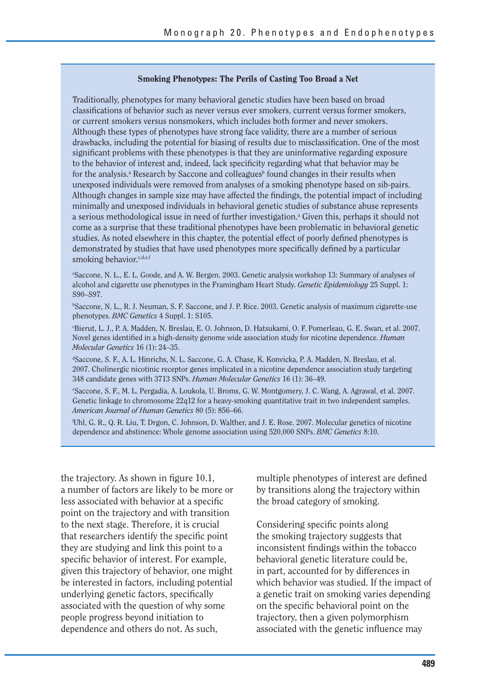#### **Smoking Phenotypes: The Perils of Casting Too Broad a Net**

Traditionally, phenotypes for many behavioral genetic studies have been based on broad classifications of behavior such as never versus ever smokers, current versus former smokers, or current smokers versus nonsmokers, which includes both former and never smokers. Although these types of phenotypes have strong face validity, there are a number of serious drawbacks, including the potential for biasing of results due to misclassification. One of the most significant problems with these phenotypes is that they are uninformative regarding exposure to the behavior of interest and, indeed, lack specificity regarding what that behavior may be for the analysis.<sup>a</sup> Research by Saccone and colleagues<sup>b</sup> found changes in their results when unexposed individuals were removed from analyses of a smoking phenotype based on sib-pairs. Although changes in sample size may have affected the findings, the potential impact of including minimally and unexposed individuals in behavioral genetic studies of substance abuse represents a serious methodological issue in need of further investigation.<sup>a</sup> Given this, perhaps it should not come as a surprise that these traditional phenotypes have been problematic in behavioral genetic studies. As noted elsewhere in this chapter, the potential effect of poorly defined phenotypes is demonstrated by studies that have used phenotypes more specifically defined by a particular smoking behavior.<sup>c,d,e,f</sup>

a Saccone, N. L., E. L. Goode, and A. W. Bergen. 2003. Genetic analysis workshop 13: Summary of analyses of alcohol and cigarette use phenotypes in the Framingham Heart Study. *Genetic Epidemiology* 25 Suppl. 1: S90–S97.

b Saccone, N. L., R. J. Neuman, S. F. Saccone, and J. P. Rice. 2003. Genetic analysis of maximum cigarette-use phenotypes. *BMC Genetics* 4 Suppl. 1: S105.

c Bierut, L. J., P. A. Madden, N. Breslau, E. O. Johnson, D. Hatsukami, O. F. Pomerleau, G. E. Swan, et al. 2007. Novel genes identified in a high-density genome wide association study for nicotine dependence. *Human Molecular Genetics* 16 (1): 24–35.

d Saccone, S. F., A. L. Hinrichs, N. L. Saccone, G. A. Chase, K. Konvicka, P. A. Madden, N. Breslau, et al. 2007. Cholinergic nicotinic receptor genes implicated in a nicotine dependence association study targeting 348 candidate genes with 3713 SNPs. *Human Molecular Genetics* 16 (1): 36–49.

e Saccone, S. F., M. L. Pergadia, A. Loukola, U. Broms, G. W. Montgomery, J. C. Wang, A. Agrawal, et al. 2007. Genetic linkage to chromosome 22q12 for a heavy-smoking quantitative trait in two independent samples. *American Journal of Human Genetics* 80 (5): 856–66.

f Uhl, G. R., Q. R. Liu, T. Drgon, C. Johnson, D. Walther, and J. E. Rose. 2007. Molecular genetics of nicotine dependence and abstinence: Whole genome association using 520,000 SNPs. *BMC Genetics* 8:10.

the trajectory. As shown in figure  $10.1$ , a number of factors are likely to be more or less associated with behavior at a specific point on the trajectory and with transition to the next stage. Therefore, it is crucial that researchers identify the specific point they are studying and link this point to a specific behavior of interest. For example, given this trajectory of behavior, one might be interested in factors, including potential underlying genetic factors, specifically associated with the question of why some people progress beyond initiation to dependence and others do not. As such,

multiple phenotypes of interest are defined by transitions along the trajectory within the broad category of smoking.

Considering specific points along the smoking trajectory suggests that inconsistent findings within the tobacco behavioral genetic literature could be, in part, accounted for by differences in which behavior was studied. If the impact of a genetic trait on smoking varies depending on the specific behavioral point on the trajectory, then a given polymorphism associated with the genetic influence may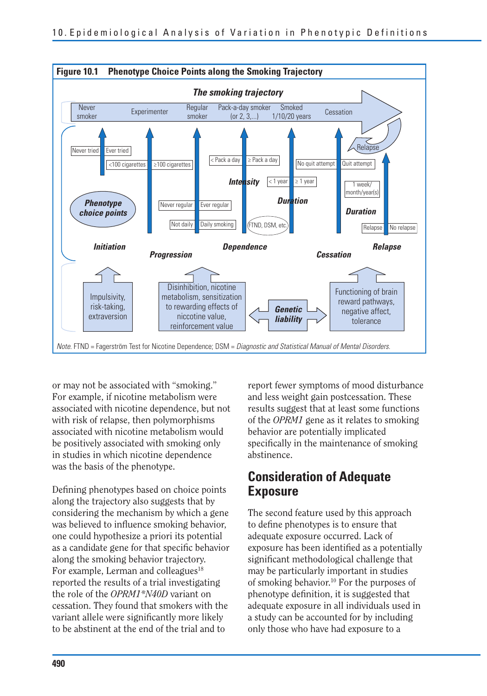

or may not be associated with "smoking." For example, if nicotine metabolism were associated with nicotine dependence, but not with risk of relapse, then polymorphisms associated with nicotine metabolism would be positively associated with smoking only in studies in which nicotine dependence was the basis of the phenotype.

Defining phenotypes based on choice points along the trajectory also suggests that by considering the mechanism by which a gene was believed to influence smoking behavior, one could hypothesize a priori its potential as a candidate gene for that specific behavior along the smoking behavior trajectory. For example, Lerman and colleagues<sup>18</sup> reported the results of a trial investigating the role of the *OPRM1\*N40D* variant on cessation. They found that smokers with the variant allele were significantly more likely to be abstinent at the end of the trial and to

report fewer symptoms of mood disturbance and less weight gain postcessation. These results suggest that at least some functions of the *OPRM1* gene as it relates to smoking behavior are potentially implicated specifically in the maintenance of smoking abstinence.

### **Consideration of Adequate Exposure**

The second feature used by this approach to define phenotypes is to ensure that adequate exposure occurred. Lack of exposure has been identified as a potentially significant methodological challenge that may be particularly important in studies of smoking behavior.10 For the purposes of phenotype definition, it is suggested that adequate exposure in all individuals used in a study can be accounted for by including only those who have had exposure to a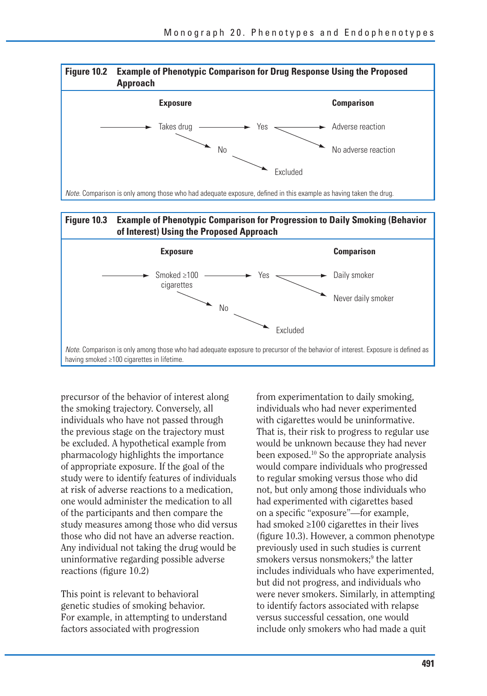



precursor of the behavior of interest along the smoking trajectory. Conversely, all individuals who have not passed through the previous stage on the trajectory must be excluded. A hypothetical example from pharmacology highlights the importance of appropriate exposure. If the goal of the study were to identify features of individuals at risk of adverse reactions to a medication, one would administer the medication to all of the participants and then compare the study measures among those who did versus those who did not have an adverse reaction. Any individual not taking the drug would be uninformative regarding possible adverse reactions (figure  $10.2$ )

This point is relevant to behavioral genetic studies of smoking behavior. For example, in attempting to understand factors associated with progression

from experimentation to daily smoking, individuals who had never experimented with cigarettes would be uninformative. That is, their risk to progress to regular use would be unknown because they had never been exposed.10 So the appropriate analysis would compare individuals who progressed to regular smoking versus those who did not, but only among those individuals who had experimented with cigarettes based on a specific "exposure"—for example, had smoked ≥100 cigarettes in their lives (figure 10.3). However, a common phenotype previously used in such studies is current smokers versus nonsmokers;<sup>9</sup> the latter includes individuals who have experimented, but did not progress, and individuals who were never smokers. Similarly, in attempting to identify factors associated with relapse versus successful cessation, one would include only smokers who had made a quit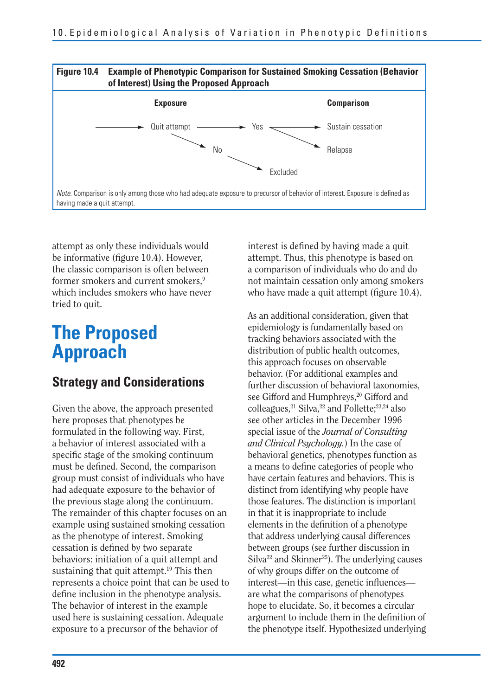

attempt as only these individuals would be informative (figure 10.4). However, the classic comparison is often between former smokers and current smokers.<sup>9</sup> which includes smokers who have never tried to quit.

## **The Proposed Approach**

### **Strategy and Considerations**

Given the above, the approach presented here proposes that phenotypes be formulated in the following way. First, a behavior of interest associated with a specific stage of the smoking continuum must be defined. Second, the comparison group must consist of individuals who have had adequate exposure to the behavior of the previous stage along the continuum. The remainder of this chapter focuses on an example using sustained smoking cessation as the phenotype of interest. Smoking cessation is defined by two separate behaviors: initiation of a quit attempt and sustaining that quit attempt.<sup>19</sup> This then represents a choice point that can be used to define inclusion in the phenotype analysis. The behavior of interest in the example used here is sustaining cessation. Adequate exposure to a precursor of the behavior of

interest is defined by having made a quit attempt. Thus, this phenotype is based on a comparison of individuals who do and do not maintain cessation only among smokers who have made a quit attempt (figure  $10.4$ ).

As an additional consideration, given that epidemiology is fundamentally based on tracking behaviors associated with the distribution of public health outcomes, this approach focuses on observable behavior. (For additional examples and further discussion of behavioral taxonomies, see Gifford and Humphreys.<sup>20</sup> Gifford and colleagues,<sup>21</sup> Silva,<sup>22</sup> and Follette;<sup>23,24</sup> also see other articles in the December 1996 special issue of the *Journal of Consulting and Clinical Psychology.*) In the case of behavioral genetics, phenotypes function as a means to define categories of people who have certain features and behaviors. This is distinct from identifying why people have those features. The distinction is important in that it is inappropriate to include elements in the definition of a phenotype that address underlying causal differences between groups (see further discussion in  $\text{Si}$ lva<sup>22</sup> and Skinner<sup>25</sup>). The underlying causes of why groups differ on the outcome of interest—in this case, genetic influences are what the comparisons of phenotypes hope to elucidate. So, it becomes a circular argument to include them in the definition of the phenotype itself. Hypothesized underlying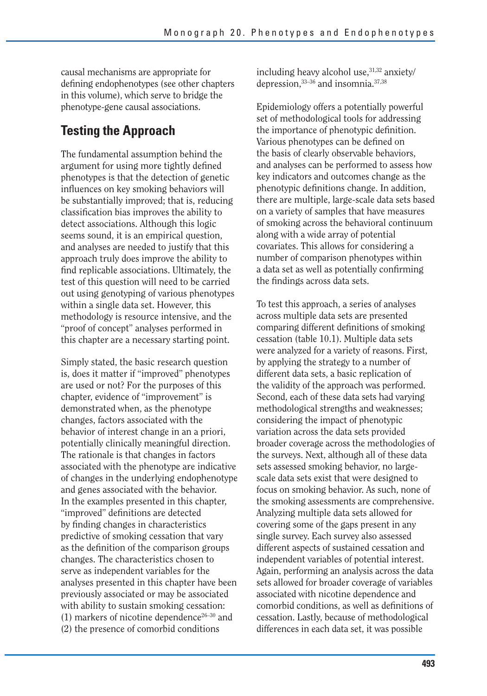causal mechanisms are appropriate for defining endophenotypes (see other chapters in this volume), which serve to bridge the phenotype-gene causal associations.

## **Testing the Approach**

The fundamental assumption behind the argument for using more tightly defined phenotypes is that the detection of genetic influences on key smoking behaviors will be substantially improved; that is, reducing classification bias improves the ability to detect associations. Although this logic seems sound, it is an empirical question, and analyses are needed to justify that this approach truly does improve the ability to find replicable associations. Ultimately, the test of this question will need to be carried out using genotyping of various phenotypes within a single data set. However, this methodology is resource intensive, and the "proof of concept" analyses performed in this chapter are a necessary starting point.

Simply stated, the basic research question is, does it matter if "improved" phenotypes are used or not? For the purposes of this chapter, evidence of "improvement" is demonstrated when, as the phenotype changes, factors associated with the behavior of interest change in an a priori, potentially clinically meaningful direction. The rationale is that changes in factors associated with the phenotype are indicative of changes in the underlying endophenotype and genes associated with the behavior. In the examples presented in this chapter, "improved" definitions are detected by finding changes in characteristics predictive of smoking cessation that vary as the definition of the comparison groups changes. The characteristics chosen to serve as independent variables for the analyses presented in this chapter have been previously associated or may be associated with ability to sustain smoking cessation: (1) markers of nicotine dependence<sup>26–30</sup> and (2) the presence of comorbid conditions

including heavy alcohol use, 31,32 anxiety/ depression,33–36 and insomnia.37,38

Epidemiology offers a potentially powerful set of methodological tools for addressing the importance of phenotypic definition. Various phenotypes can be defined on the basis of clearly observable behaviors, and analyses can be performed to assess how key indicators and outcomes change as the phenotypic definitions change. In addition, there are multiple, large-scale data sets based on a variety of samples that have measures of smoking across the behavioral continuum along with a wide array of potential covariates. This allows for considering a number of comparison phenotypes within a data set as well as potentially confirming the findings across data sets.

To test this approach, a series of analyses across multiple data sets are presented comparing different definitions of smoking cessation (table 10.1). Multiple data sets were analyzed for a variety of reasons. First, by applying the strategy to a number of different data sets, a basic replication of the validity of the approach was performed. Second, each of these data sets had varying methodological strengths and weaknesses; considering the impact of phenotypic variation across the data sets provided broader coverage across the methodologies of the surveys. Next, although all of these data sets assessed smoking behavior, no largescale data sets exist that were designed to focus on smoking behavior. As such, none of the smoking assessments are comprehensive. Analyzing multiple data sets allowed for covering some of the gaps present in any single survey. Each survey also assessed different aspects of sustained cessation and independent variables of potential interest. Again, performing an analysis across the data sets allowed for broader coverage of variables associated with nicotine dependence and comorbid conditions, as well as definitions of cessation. Lastly, because of methodological differences in each data set, it was possible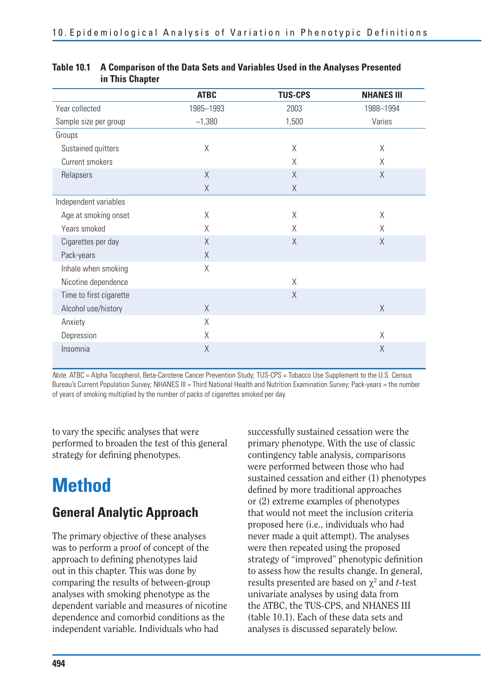|                         | <b>ATBC</b> | <b>TUS-CPS</b> | <b>NHANES III</b> |
|-------------------------|-------------|----------------|-------------------|
| Year collected          | 1985-1993   | 2003           | 1988-1994         |
| Sample size per group   | $-1,380$    | 1,500          | Varies            |
| Groups                  |             |                |                   |
| Sustained quitters      | Χ           | X              | X                 |
| Current smokers         |             | X              | X                 |
| Relapsers               | X           | $\chi$         | X                 |
|                         | X           | Χ              |                   |
| Independent variables   |             |                |                   |
| Age at smoking onset    | X           | X              | Χ                 |
| Years smoked            | X           | X              | Χ                 |
| Cigarettes per day      | X           | $\chi$         | X                 |
| Pack-years              | X           |                |                   |
| Inhale when smoking     | X           |                |                   |
| Nicotine dependence     |             | X              |                   |
| Time to first cigarette |             | $\chi$         |                   |
| Alcohol use/history     | $\times$    |                | $\times$          |
| Anxiety                 | X           |                |                   |
| Depression              | X           |                | X                 |
| Insomnia                | X           |                | X                 |

#### **Table 10.1 A Comparison of the Data Sets and Variables Used in the Analyses Presented in This Chapter**

Note. ATBC = Alpha Tocopherol, Beta-Carotene Cancer Prevention Study; TUS-CPS = Tobacco Use Supplement to the U.S. Census Bureau's Current Population Survey; NHANES III = Third National Health and Nutrition Examination Survey; Pack-years = the number of years of smoking multiplied by the number of packs of cigarettes smoked per day.

to vary the specific analyses that were performed to broaden the test of this general strategy for defining phenotypes.

# **Method**

## **General Analytic Approach**

The primary objective of these analyses was to perform a proof of concept of the approach to defining phenotypes laid out in this chapter. This was done by comparing the results of between-group analyses with smoking phenotype as the dependent variable and measures of nicotine dependence and comorbid conditions as the independent variable. Individuals who had

successfully sustained cessation were the primary phenotype. With the use of classic contingency table analysis, comparisons were performed between those who had sustained cessation and either (1) phenotypes defined by more traditional approaches or (2) extreme examples of phenotypes that would not meet the inclusion criteria proposed here (i.e., individuals who had never made a quit attempt). The analyses were then repeated using the proposed strategy of "improved" phenotypic definition to assess how the results change. In general, results presented are based on  $\chi^2$  and *t*-test univariate analyses by using data from the ATBC, the TUS-CPS, and NHANES III (table 10.1). Each of these data sets and analyses is discussed separately below.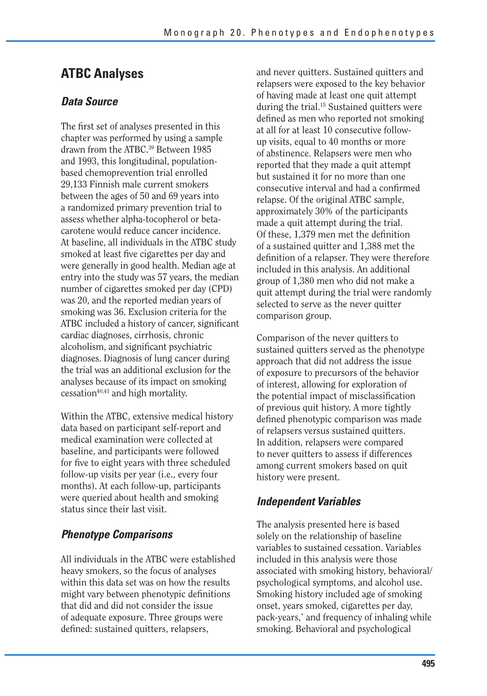## **ATBC Analyses**

#### *Data Source*

The first set of analyses presented in this chapter was performed by using a sample drawn from the ATBC.<sup>39</sup> Between 1985 and 1993, this longitudinal, populationbased chemoprevention trial enrolled 29,133 Finnish male current smokers between the ages of 50 and 69 years into a randomized primary prevention trial to assess whether alpha-tocopherol or betacarotene would reduce cancer incidence. At baseline, all individuals in the ATBC study smoked at least five cigarettes per day and were generally in good health. Median age at entry into the study was 57 years, the median number of cigarettes smoked per day (CPD) was 20, and the reported median years of smoking was 36. Exclusion criteria for the ATBC included a history of cancer, significant cardiac diagnoses, cirrhosis, chronic alcoholism, and significant psychiatric diagnoses. Diagnosis of lung cancer during the trial was an additional exclusion for the analyses because of its impact on smoking  $c$ essation<sup>40,41</sup> and high mortality.

Within the ATBC, extensive medical history data based on participant self-report and medical examination were collected at baseline, and participants were followed for five to eight years with three scheduled follow-up visits per year (i.e., every four months). At each follow-up, participants were queried about health and smoking status since their last visit.

#### *Phenotype Comparisons*

All individuals in the ATBC were established heavy smokers, so the focus of analyses within this data set was on how the results might vary between phenotypic definitions that did and did not consider the issue of adequate exposure. Three groups were defined: sustained quitters, relapsers,

and never quitters. Sustained quitters and relapsers were exposed to the key behavior of having made at least one quit attempt during the trial.15 Sustained quitters were defined as men who reported not smoking at all for at least 10 consecutive followup visits, equal to 40 months or more of abstinence. Relapsers were men who reported that they made a quit attempt but sustained it for no more than one consecutive interval and had a confirmed relapse. Of the original ATBC sample, approximately 30% of the participants made a quit attempt during the trial. Of these, 1,379 men met the definition of a sustained quitter and 1,388 met the definition of a relapser. They were therefore included in this analysis. An additional group of 1,380 men who did not make a quit attempt during the trial were randomly selected to serve as the never quitter comparison group.

Comparison of the never quitters to sustained quitters served as the phenotype approach that did not address the issue of exposure to precursors of the behavior of interest, allowing for exploration of the potential impact of misclassification of previous quit history. A more tightly defined phenotypic comparison was made of relapsers versus sustained quitters. In addition, relapsers were compared to never quitters to assess if differences among current smokers based on quit history were present.

#### *Independent Variables*

The analysis presented here is based solely on the relationship of baseline variables to sustained cessation. Variables included in this analysis were those associated with smoking history, behavioral/ psychological symptoms, and alcohol use. Smoking history included age of smoking onset, years smoked, cigarettes per day, pack-years,\* and frequency of inhaling while smoking. Behavioral and psychological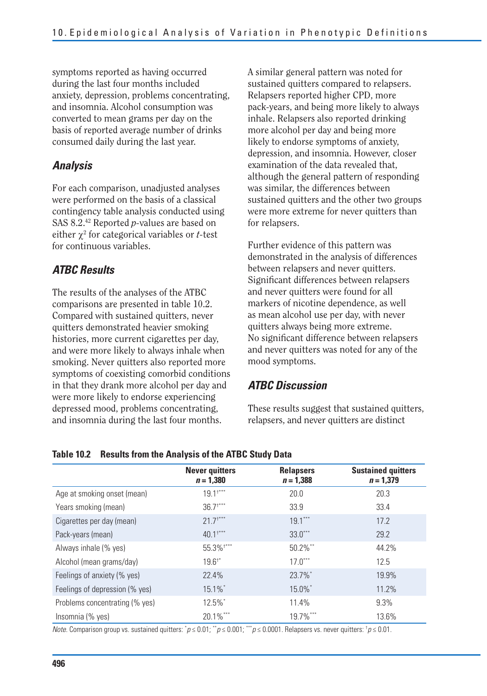symptoms reported as having occurred during the last four months included anxiety, depression, problems concentrating, and insomnia. Alcohol consumption was converted to mean grams per day on the basis of reported average number of drinks consumed daily during the last year.

#### *Analysis*

For each comparison, unadjusted analyses were performed on the basis of a classical contingency table analysis conducted using SAS 8.2.42 Reported *p-*values are based on either  $\chi^2$  for categorical variables or *t*-test for continuous variables.

#### *ATBC Results*

The results of the analyses of the ATBC comparisons are presented in table 10.2. Compared with sustained quitters, never quitters demonstrated heavier smoking histories, more current cigarettes per day, and were more likely to always inhale when smoking. Never quitters also reported more symptoms of coexisting comorbid conditions in that they drank more alcohol per day and were more likely to endorse experiencing depressed mood, problems concentrating, and insomnia during the last four months.

A similar general pattern was noted for sustained quitters compared to relapsers. Relapsers reported higher CPD, more pack-years, and being more likely to always inhale. Relapsers also reported drinking more alcohol per day and being more likely to endorse symptoms of anxiety, depression, and insomnia. However, closer examination of the data revealed that, although the general pattern of responding was similar, the differences between sustained quitters and the other two groups were more extreme for never quitters than for relapsers.

Further evidence of this pattern was demonstrated in the analysis of differences between relapsers and never quitters. Significant differences between relapsers and never quitters were found for all markers of nicotine dependence, as well as mean alcohol use per day, with never quitters always being more extreme. No significant difference between relapsers and never quitters was noted for any of the mood symptoms.

#### *ATBC Discussion*

These results suggest that sustained quitters, relapsers, and never quitters are distinct

|                                | <b>Never quitters</b><br>$n = 1,380$ | <b>Relapsers</b><br>$n = 1,388$ | <b>Sustained quitters</b><br>$n = 1,379$ |
|--------------------------------|--------------------------------------|---------------------------------|------------------------------------------|
| Age at smoking onset (mean)    | $19.1$ <sup>+***</sup>               | 20.0                            | 20.3                                     |
| Years smoking (mean)           | $36.7$ <sup>****</sup>               | 33.9                            | 33.4                                     |
| Cigarettes per day (mean)      | $21.7$ <sup>****</sup>               | $19.1***$                       | 17.2                                     |
| Pack-years (mean)              | $40.1***$                            | $33.0***$                       | 29.2                                     |
| Always inhale (% yes)          | 55.3% ****                           | $50.2\%$ **                     | 44.2%                                    |
| Alcohol (mean grams/day)       | $19.61$ *                            | $17.0***$                       | 12.5                                     |
| Feelings of anxiety (% yes)    | 22.4%                                | 23.7%*                          | 19.9%                                    |
| Feelings of depression (% yes) | 15.1%*                               | 15.0%*                          | 11.2%                                    |
| Problems concentrating (% yes) | 12.5%*                               | 11.4%                           | 9.3%                                     |
| Insomnia (% yes)               | 20.1%***                             | 19.7%***                        | 13.6%                                    |

#### **Table 10.2 Results from the Analysis of the ATBC Study Data**

*Note.* Comparison group vs. sustained quitters: " $p ≤ 0.01$ ; "" $p ≤ 0.001$ ; "" $p ≤ 0.0001$ . Relapsers vs. never quitters: " $p ≤ 0.01$ .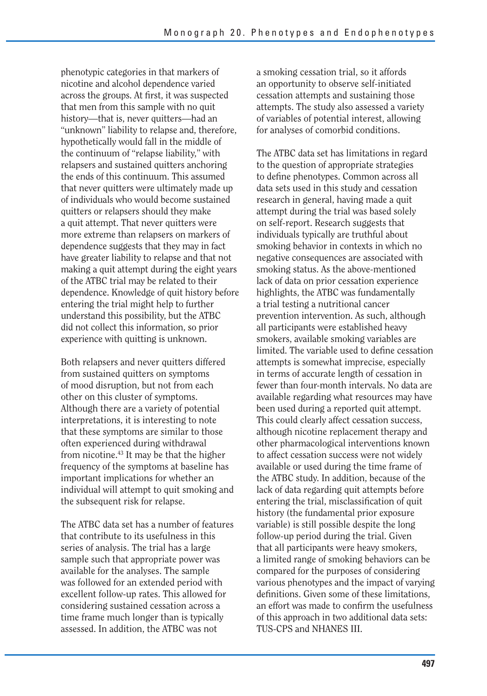phenotypic categories in that markers of nicotine and alcohol dependence varied across the groups. At first, it was suspected that men from this sample with no quit history—that is, never quitters—had an "unknown" liability to relapse and, therefore, hypothetically would fall in the middle of the continuum of "relapse liability," with relapsers and sustained quitters anchoring the ends of this continuum. This assumed that never quitters were ultimately made up of individuals who would become sustained quitters or relapsers should they make a quit attempt. That never quitters were more extreme than relapsers on markers of dependence suggests that they may in fact have greater liability to relapse and that not making a quit attempt during the eight years of the ATBC trial may be related to their dependence. Knowledge of quit history before entering the trial might help to further understand this possibility, but the ATBC did not collect this information, so prior experience with quitting is unknown.

Both relapsers and never quitters differed from sustained quitters on symptoms of mood disruption, but not from each other on this cluster of symptoms. Although there are a variety of potential interpretations, it is interesting to note that these symptoms are similar to those often experienced during withdrawal from nicotine.43 It may be that the higher frequency of the symptoms at baseline has important implications for whether an individual will attempt to quit smoking and the subsequent risk for relapse.

The ATBC data set has a number of features that contribute to its usefulness in this series of analysis. The trial has a large sample such that appropriate power was available for the analyses. The sample was followed for an extended period with excellent follow-up rates. This allowed for considering sustained cessation across a time frame much longer than is typically assessed. In addition, the ATBC was not

a smoking cessation trial, so it affords an opportunity to observe self-initiated cessation attempts and sustaining those attempts. The study also assessed a variety of variables of potential interest, allowing for analyses of comorbid conditions.

The ATBC data set has limitations in regard to the question of appropriate strategies to define phenotypes. Common across all data sets used in this study and cessation research in general, having made a quit attempt during the trial was based solely on self-report. Research suggests that individuals typically are truthful about smoking behavior in contexts in which no negative consequences are associated with smoking status. As the above-mentioned lack of data on prior cessation experience highlights, the ATBC was fundamentally a trial testing a nutritional cancer prevention intervention. As such, although all participants were established heavy smokers, available smoking variables are limited. The variable used to define cessation attempts is somewhat imprecise, especially in terms of accurate length of cessation in fewer than four-month intervals. No data are available regarding what resources may have been used during a reported quit attempt. This could clearly affect cessation success, although nicotine replacement therapy and other pharmacological interventions known to affect cessation success were not widely available or used during the time frame of the ATBC study. In addition, because of the lack of data regarding quit attempts before entering the trial, misclassification of quit history (the fundamental prior exposure variable) is still possible despite the long follow-up period during the trial. Given that all participants were heavy smokers, a limited range of smoking behaviors can be compared for the purposes of considering various phenotypes and the impact of varying definitions. Given some of these limitations, an effort was made to confirm the usefulness of this approach in two additional data sets: TUS-CPS and NHANES III.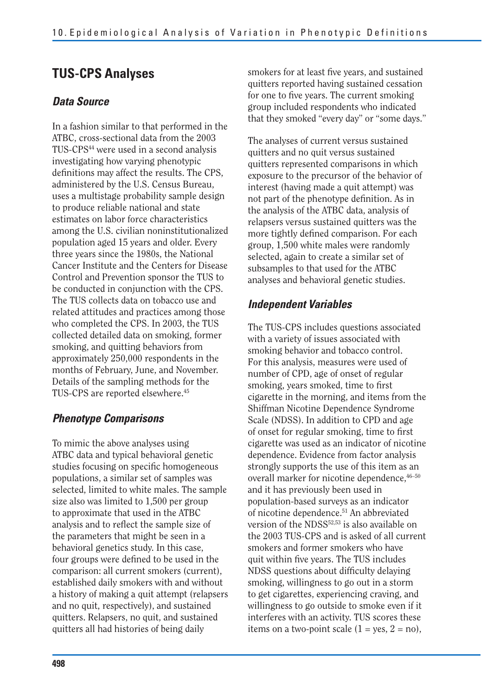## **TUS-CPS Analyses**

#### *Data Source*

In a fashion similar to that performed in the ATBC, cross-sectional data from the 2003 TUS-CPS44 were used in a second analysis investigating how varying phenotypic definitions may affect the results. The CPS, administered by the U.S. Census Bureau, uses a multistage probability sample design to produce reliable national and state estimates on labor force characteristics among the U.S. civilian noninstitutionalized population aged 15 years and older. Every three years since the 1980s, the National Cancer Institute and the Centers for Disease Control and Prevention sponsor the TUS to be conducted in conjunction with the CPS. The TUS collects data on tobacco use and related attitudes and practices among those who completed the CPS. In 2003, the TUS collected detailed data on smoking, former smoking, and quitting behaviors from approximately 250,000 respondents in the months of February, June, and November. Details of the sampling methods for the TUS-CPS are reported elsewhere.<sup>45</sup>

### *Phenotype Comparisons*

To mimic the above analyses using ATBC data and typical behavioral genetic studies focusing on specific homogeneous populations, a similar set of samples was selected, limited to white males. The sample size also was limited to 1,500 per group to approximate that used in the ATBC analysis and to reflect the sample size of the parameters that might be seen in a behavioral genetics study. In this case, four groups were defined to be used in the comparison: all current smokers (current), established daily smokers with and without a history of making a quit attempt (relapsers and no quit, respectively), and sustained quitters. Relapsers, no quit, and sustained quitters all had histories of being daily

smokers for at least five years, and sustained quitters reported having sustained cessation for one to five years. The current smoking group included respondents who indicated that they smoked "every day" or "some days."

The analyses of current versus sustained quitters and no quit versus sustained quitters represented comparisons in which exposure to the precursor of the behavior of interest (having made a quit attempt) was not part of the phenotype definition. As in the analysis of the ATBC data, analysis of relapsers versus sustained quitters was the more tightly defined comparison. For each group, 1,500 white males were randomly selected, again to create a similar set of subsamples to that used for the ATBC analyses and behavioral genetic studies.

#### *Independent Variables*

The TUS-CPS includes questions associated with a variety of issues associated with smoking behavior and tobacco control. For this analysis, measures were used of number of CPD, age of onset of regular smoking, years smoked, time to first cigarette in the morning, and items from the Shiffman Nicotine Dependence Syndrome Scale (NDSS). In addition to CPD and age of onset for regular smoking, time to first cigarette was used as an indicator of nicotine dependence. Evidence from factor analysis strongly supports the use of this item as an overall marker for nicotine dependence,  $46-50$ and it has previously been used in population-based surveys as an indicator of nicotine dependence.51 An abbreviated version of the NDSS<sup>52,53</sup> is also available on the 2003 TUS-CPS and is asked of all current smokers and former smokers who have quit within five years. The TUS includes NDSS questions about difficulty delaying smoking, willingness to go out in a storm to get cigarettes, experiencing craving, and willingness to go outside to smoke even if it interferes with an activity. TUS scores these items on a two-point scale  $(1 = yes, 2 = no)$ ,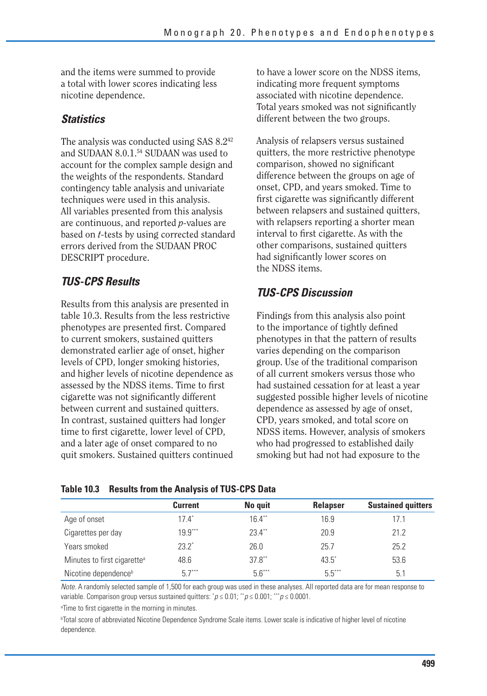and the items were summed to provide a total with lower scores indicating less nicotine dependence.

#### *Statistics*

The analysis was conducted using SAS 8.242 and SUDAAN 8.0.1.54 SUDAAN was used to account for the complex sample design and the weights of the respondents. Standard contingency table analysis and univariate techniques were used in this analysis. All variables presented from this analysis are continuous, and reported *p-*values are based on *t-*tests by using corrected standard errors derived from the SUDAAN PROC DESCRIPT procedure.

### *TUS-CPS Results*

Results from this analysis are presented in table 10.3. Results from the less restrictive phenotypes are presented first. Compared to current smokers, sustained quitters demonstrated earlier age of onset, higher levels of CPD, longer smoking histories, and higher levels of nicotine dependence as assessed by the NDSS items. Time to first cigarette was not significantly different between current and sustained quitters. In contrast, sustained quitters had longer time to first cigarette, lower level of CPD, and a later age of onset compared to no quit smokers. Sustained quitters continued to have a lower score on the NDSS items, indicating more frequent symptoms associated with nicotine dependence. Total years smoked was not significantly different between the two groups.

Analysis of relapsers versus sustained quitters, the more restrictive phenotype comparison, showed no significant difference between the groups on age of onset, CPD, and years smoked. Time to first cigarette was significantly different between relapsers and sustained quitters, with relapsers reporting a shorter mean interval to first cigarette. As with the other comparisons, sustained quitters had significantly lower scores on the NDSS items.

### *TUS-CPS Discussion*

Findings from this analysis also point to the importance of tightly defined phenotypes in that the pattern of results varies depending on the comparison group. Use of the traditional comparison of all current smokers versus those who had sustained cessation for at least a year suggested possible higher levels of nicotine dependence as assessed by age of onset, CPD, years smoked, and total score on NDSS items. However, analysis of smokers who had progressed to established daily smoking but had not had exposure to the

|                                         | <b>Current</b> | No quit   | <b>Relapser</b> | <b>Sustained quitters</b> |
|-----------------------------------------|----------------|-----------|-----------------|---------------------------|
| Age of onset                            | $17.4^*$       | $16.4***$ | 16.9            | 17.1                      |
| Cigarettes per day                      | $19.9***$      | $23.4***$ | 20.9            | 21.2                      |
| Years smoked                            | $23.2^*$       | 26.0      | 25.7            | 25.2                      |
| Minutes to first cigarette <sup>a</sup> | 48.6           | $37.8$ ** | $43.5^*$        | 53.6                      |
| Nicotine dependence <sup>b</sup>        | $5.7***$       | $5.6***$  | $5.5***$        | 5.1                       |

#### **Table 10.3 Results from the Analysis of TUS-CPS Data**

Note. A randomly selected sample of 1,500 for each group was used in these analyses. All reported data are for mean response to variable. Comparison group versus sustained quitters:  $^*p \le 0.01$ ;  $^{**}p \le 0.001$ ;  $^{***}p \le 0.0001$ .

<sup>a</sup>Time to first cigarette in the morning in minutes.

b Total score of abbreviated Nicotine Dependence Syndrome Scale items. Lower scale is indicative of higher level of nicotine dependence.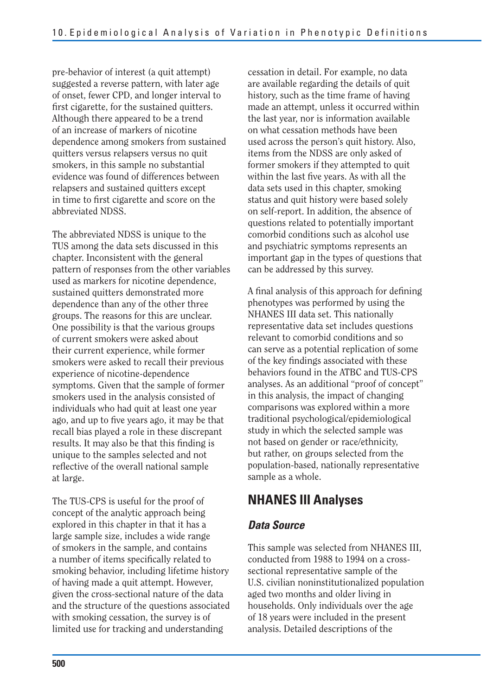pre-behavior of interest (a quit attempt) suggested a reverse pattern, with later age of onset, fewer CPD, and longer interval to first cigarette, for the sustained quitters. Although there appeared to be a trend of an increase of markers of nicotine dependence among smokers from sustained quitters versus relapsers versus no quit smokers, in this sample no substantial evidence was found of differences between relapsers and sustained quitters except in time to first cigarette and score on the abbreviated NDSS.

The abbreviated NDSS is unique to the TUS among the data sets discussed in this chapter. Inconsistent with the general pattern of responses from the other variables used as markers for nicotine dependence, sustained quitters demonstrated more dependence than any of the other three groups. The reasons for this are unclear. One possibility is that the various groups of current smokers were asked about their current experience, while former smokers were asked to recall their previous experience of nicotine-dependence symptoms. Given that the sample of former smokers used in the analysis consisted of individuals who had quit at least one year ago, and up to five years ago, it may be that recall bias played a role in these discrepant results. It may also be that this finding is unique to the samples selected and not reflective of the overall national sample at large.

The TUS-CPS is useful for the proof of concept of the analytic approach being explored in this chapter in that it has a large sample size, includes a wide range of smokers in the sample, and contains a number of items specifically related to smoking behavior, including lifetime history of having made a quit attempt. However, given the cross-sectional nature of the data and the structure of the questions associated with smoking cessation, the survey is of limited use for tracking and understanding

cessation in detail. For example, no data are available regarding the details of quit history, such as the time frame of having made an attempt, unless it occurred within the last year, nor is information available on what cessation methods have been used across the person's quit history. Also, items from the NDSS are only asked of former smokers if they attempted to quit within the last five years. As with all the data sets used in this chapter, smoking status and quit history were based solely on self-report. In addition, the absence of questions related to potentially important comorbid conditions such as alcohol use and psychiatric symptoms represents an important gap in the types of questions that can be addressed by this survey.

A final analysis of this approach for defining phenotypes was performed by using the NHANES III data set. This nationally representative data set includes questions relevant to comorbid conditions and so can serve as a potential replication of some of the key findings associated with these behaviors found in the ATBC and TUS-CPS analyses. As an additional "proof of concept" in this analysis, the impact of changing comparisons was explored within a more traditional psychological/epidemiological study in which the selected sample was not based on gender or race/ethnicity, but rather, on groups selected from the population-based, nationally representative sample as a whole.

## **NHANES III Analyses**

#### *Data Source*

This sample was selected from NHANES III, conducted from 1988 to 1994 on a crosssectional representative sample of the U.S. civilian noninstitutionalized population aged two months and older living in households. Only individuals over the age of 18 years were included in the present analysis. Detailed descriptions of the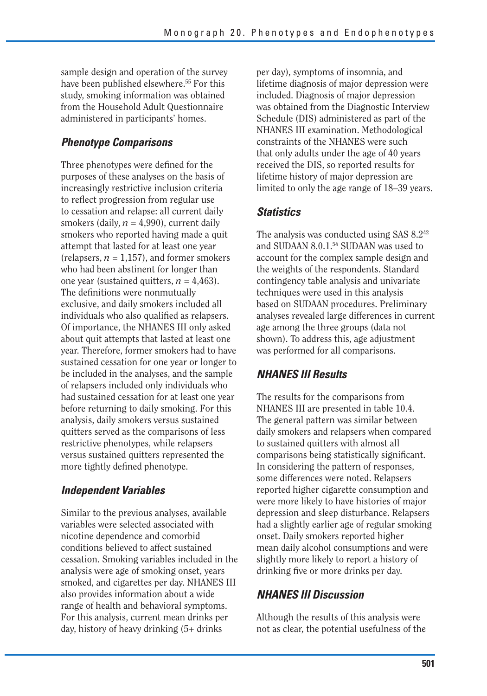sample design and operation of the survey have been published elsewhere.<sup>55</sup> For this study, smoking information was obtained from the Household Adult Questionnaire administered in participants' homes.

### *Phenotype Comparisons*

Three phenotypes were defined for the purposes of these analyses on the basis of increasingly restrictive inclusion criteria to reflect progression from regular use to cessation and relapse: all current daily smokers (daily,  $n = 4,990$ ), current daily smokers who reported having made a quit attempt that lasted for at least one year (relapsers,  $n = 1.157$ ), and former smokers who had been abstinent for longer than one year (sustained quitters,  $n = 4,463$ ). The definitions were nonmutually exclusive, and daily smokers included all individuals who also qualified as relapsers. Of importance, the NHANES III only asked about quit attempts that lasted at least one year. Therefore, former smokers had to have sustained cessation for one year or longer to be included in the analyses, and the sample of relapsers included only individuals who had sustained cessation for at least one year before returning to daily smoking. For this analysis, daily smokers versus sustained quitters served as the comparisons of less restrictive phenotypes, while relapsers versus sustained quitters represented the more tightly defined phenotype.

#### *Independent Variables*

Similar to the previous analyses, available variables were selected associated with nicotine dependence and comorbid conditions believed to affect sustained cessation. Smoking variables included in the analysis were age of smoking onset, years smoked, and cigarettes per day. NHANES III also provides information about a wide range of health and behavioral symptoms. For this analysis, current mean drinks per day, history of heavy drinking (5+ drinks

per day), symptoms of insomnia, and lifetime diagnosis of major depression were included. Diagnosis of major depression was obtained from the Diagnostic Interview Schedule (DIS) administered as part of the NHANES III examination. Methodological constraints of the NHANES were such that only adults under the age of 40 years received the DIS, so reported results for lifetime history of major depression are limited to only the age range of 18–39 years.

#### *Statistics*

The analysis was conducted using SAS 8.2<sup>42</sup> and SUDAAN 8.0.1.54 SUDAAN was used to account for the complex sample design and the weights of the respondents. Standard contingency table analysis and univariate techniques were used in this analysis based on SUDAAN procedures. Preliminary analyses revealed large differences in current age among the three groups (data not shown). To address this, age adjustment was performed for all comparisons.

### *NHANES III Results*

The results for the comparisons from NHANES III are presented in table 10.4. The general pattern was similar between daily smokers and relapsers when compared to sustained quitters with almost all comparisons being statistically significant. In considering the pattern of responses, some differences were noted. Relapsers reported higher cigarette consumption and were more likely to have histories of major depression and sleep disturbance. Relapsers had a slightly earlier age of regular smoking onset. Daily smokers reported higher mean daily alcohol consumptions and were slightly more likely to report a history of drinking five or more drinks per day.

#### *NHANES III Discussion*

Although the results of this analysis were not as clear, the potential usefulness of the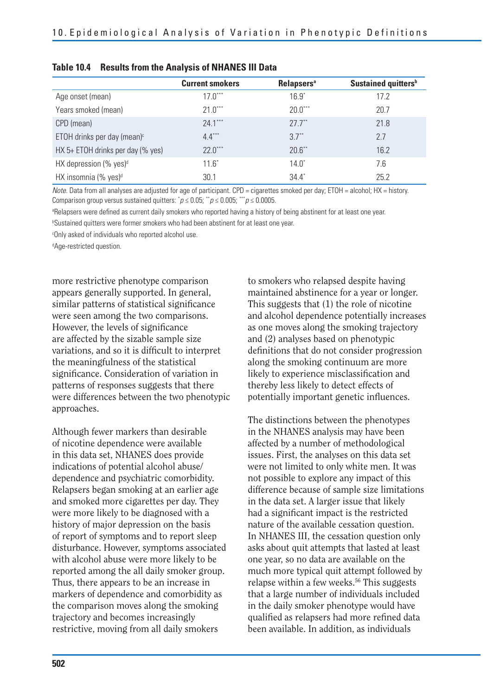|                                       | <b>Current smokers</b> | <b>Relapsers<sup>a</sup></b> | Sustained quitters <sup>b</sup> |
|---------------------------------------|------------------------|------------------------------|---------------------------------|
| Age onset (mean)                      | $17.0***$              | $16.9^{\circ}$               | 17.2                            |
| Years smoked (mean)                   | $21.0***$              | $20.0***$                    | 20.7                            |
| CPD (mean)                            | $24.1***$              | $277$ <sup>**</sup>          | 21.8                            |
| ETOH drinks per day (mean) $\epsilon$ | $4.4***$               | $37**$                       | 2.7                             |
| $HX 5+ ETOH$ drinks per day (% yes)   | $22.0***$              | $20.6$ **                    | 16.2                            |
| HX depression (% yes) <sup>d</sup>    | $11.6^*$               | $14.0^*$                     | 7.6                             |
| HX insomnia (% yes) <sup>d</sup>      | 30.1                   | $34.4^{\circ}$               | 25.2                            |

| Table 10.4 Results from the Analysis of NHANES III Data |
|---------------------------------------------------------|
|---------------------------------------------------------|

Note. Data from all analyses are adjusted for age of participant. CPD = cigarettes smoked per day; ETOH = alcohol; HX = history. Comparison group versus sustained quitters:  $\bar{p} \leq 0.05$ ;  $\bar{p} \leq 0.005$ ;  $\bar{p} \leq 0.0005$ .

<sup>a</sup>Relapsers were defined as current daily smokers who reported having a history of being abstinent for at least one year.

b Sustained quitters were former smokers who had been abstinent for at least one year.

c Only asked of individuals who reported alcohol use.

d Age-restricted question.

more restrictive phenotype comparison appears generally supported. In general, similar patterns of statistical significance were seen among the two comparisons. However, the levels of significance are affected by the sizable sample size variations, and so it is difficult to interpret the meaningfulness of the statistical significance. Consideration of variation in patterns of responses suggests that there were differences between the two phenotypic approaches.

Although fewer markers than desirable of nicotine dependence were available in this data set, NHANES does provide indications of potential alcohol abuse/ dependence and psychiatric comorbidity. Relapsers began smoking at an earlier age and smoked more cigarettes per day. They were more likely to be diagnosed with a history of major depression on the basis of report of symptoms and to report sleep disturbance. However, symptoms associated with alcohol abuse were more likely to be reported among the all daily smoker group. Thus, there appears to be an increase in markers of dependence and comorbidity as the comparison moves along the smoking trajectory and becomes increasingly restrictive, moving from all daily smokers

to smokers who relapsed despite having maintained abstinence for a year or longer. This suggests that (1) the role of nicotine and alcohol dependence potentially increases as one moves along the smoking trajectory and (2) analyses based on phenotypic definitions that do not consider progression along the smoking continuum are more likely to experience misclassification and thereby less likely to detect effects of potentially important genetic influences.

The distinctions between the phenotypes in the NHANES analysis may have been affected by a number of methodological issues. First, the analyses on this data set were not limited to only white men. It was not possible to explore any impact of this difference because of sample size limitations in the data set. A larger issue that likely had a significant impact is the restricted nature of the available cessation question. In NHANES III, the cessation question only asks about quit attempts that lasted at least one year, so no data are available on the much more typical quit attempt followed by relapse within a few weeks.<sup>56</sup> This suggests that a large number of individuals included in the daily smoker phenotype would have qualified as relapsers had more refined data been available. In addition, as individuals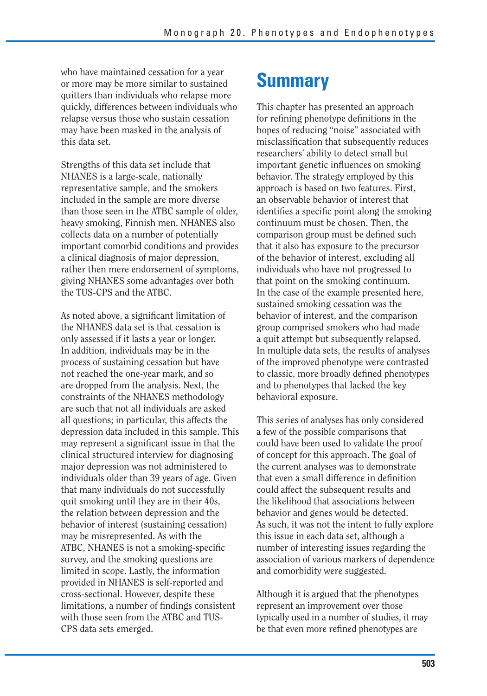who have maintained cessation for a year or more may be more similar to sustained quitters than individuals who relapse more quickly, differences between individuals who relapse versus those who sustain cessation may have been masked in the analysis of this data set.

Strengths of this data set include that NHANES is a large-scale, nationally representative sample, and the smokers included in the sample are more diverse than those seen in the ATBC sample of older, heavy smoking, Finnish men. NHANES also collects data on a number of potentially important comorbid conditions and provides a clinical diagnosis of major depression, rather then mere endorsement of symptoms, giving NHANES some advantages over both the TUS-CPS and the ATBC.

As noted above, a significant limitation of the NHANES data set is that cessation is only assessed if it lasts a year or longer. In addition, individuals may be in the process of sustaining cessation but have not reached the one-year mark, and so are dropped from the analysis. Next, the constraints of the NHANES methodology are such that not all individuals are asked all questions; in particular, this affects the depression data included in this sample. This may represent a significant issue in that the clinical structured interview for diagnosing major depression was not administered to individuals older than 39 years of age. Given that many individuals do not successfully quit smoking until they are in their 40s, the relation between depression and the behavior of interest (sustaining cessation) may be misrepresented. As with the ATBC, NHANES is not a smoking-specific survey, and the smoking questions are limited in scope. Lastly, the information provided in NHANES is self-reported and cross-sectional. However, despite these limitations, a number of findings consistent with those seen from the ATBC and TUS-CPS data sets emerged.

# **Summary**

 identifies a specific point along the smoking This chapter has presented an approach for refining phenotype definitions in the hopes of reducing "noise" associated with misclassification that subsequently reduces researchers' ability to detect small but important genetic influences on smoking behavior. The strategy employed by this approach is based on two features. First, an observable behavior of interest that continuum must be chosen. Then, the comparison group must be defined such that it also has exposure to the precursor of the behavior of interest, excluding all individuals who have not progressed to that point on the smoking continuum. In the case of the example presented here, sustained smoking cessation was the behavior of interest, and the comparison group comprised smokers who had made a quit attempt but subsequently relapsed. In multiple data sets, the results of analyses of the improved phenotype were contrasted to classic, more broadly defined phenotypes and to phenotypes that lacked the key behavioral exposure.

This series of analyses has only considered a few of the possible comparisons that could have been used to validate the proof of concept for this approach. The goal of the current analyses was to demonstrate that even a small difference in definition could affect the subsequent results and the likelihood that associations between behavior and genes would be detected. As such, it was not the intent to fully explore this issue in each data set, although a number of interesting issues regarding the association of various markers of dependence and comorbidity were suggested.

Although it is argued that the phenotypes represent an improvement over those typically used in a number of studies, it may be that even more refined phenotypes are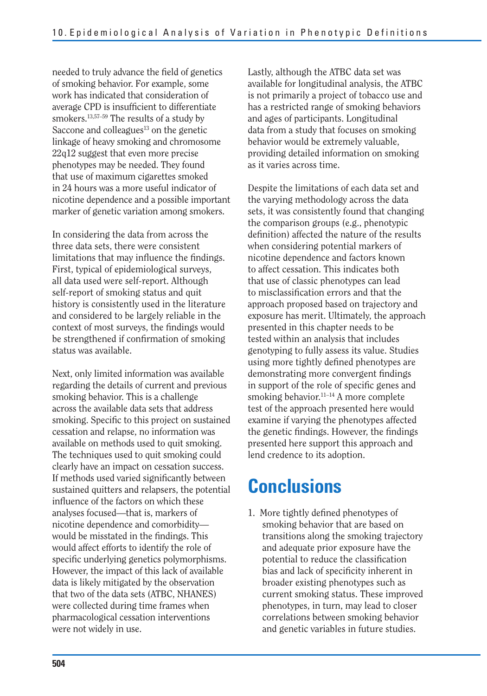needed to truly advance the field of genetics of smoking behavior. For example, some work has indicated that consideration of average CPD is insufficient to differentiate smokers.13,57–59 The results of a study by Saccone and colleagues $13$  on the genetic linkage of heavy smoking and chromosome 22q12 suggest that even more precise phenotypes may be needed. They found that use of maximum cigarettes smoked in 24 hours was a more useful indicator of nicotine dependence and a possible important marker of genetic variation among smokers.

In considering the data from across the three data sets, there were consistent limitations that may influence the findings. First, typical of epidemiological surveys, all data used were self-report. Although self-report of smoking status and quit history is consistently used in the literature and considered to be largely reliable in the context of most surveys, the findings would be strengthened if confirmation of smoking status was available.

Next, only limited information was available regarding the details of current and previous smoking behavior. This is a challenge across the available data sets that address smoking. Specific to this project on sustained cessation and relapse, no information was available on methods used to quit smoking. The techniques used to quit smoking could clearly have an impact on cessation success. If methods used varied significantly between sustained quitters and relapsers, the potential influence of the factors on which these analyses focused—that is, markers of nicotine dependence and comorbidity would be misstated in the findings. This would affect efforts to identify the role of specific underlying genetics polymorphisms. However, the impact of this lack of available data is likely mitigated by the observation that two of the data sets (ATBC, NHANES) were collected during time frames when pharmacological cessation interventions were not widely in use.

Lastly, although the ATBC data set was available for longitudinal analysis, the ATBC is not primarily a project of tobacco use and has a restricted range of smoking behaviors and ages of participants. Longitudinal data from a study that focuses on smoking behavior would be extremely valuable, providing detailed information on smoking as it varies across time.

Despite the limitations of each data set and the varying methodology across the data sets, it was consistently found that changing the comparison groups (e.g., phenotypic definition) affected the nature of the results when considering potential markers of nicotine dependence and factors known to affect cessation. This indicates both that use of classic phenotypes can lead to misclassification errors and that the approach proposed based on trajectory and exposure has merit. Ultimately, the approach presented in this chapter needs to be tested within an analysis that includes genotyping to fully assess its value. Studies using more tightly defined phenotypes are demonstrating more convergent findings in support of the role of specific genes and smoking behavior.<sup>11-14</sup> A more complete test of the approach presented here would examine if varying the phenotypes affected the genetic findings. However, the findings presented here support this approach and lend credence to its adoption.

## **Conclusions**

1. More tightly defined phenotypes of smoking behavior that are based on transitions along the smoking trajectory and adequate prior exposure have the potential to reduce the classification bias and lack of specificity inherent in broader existing phenotypes such as current smoking status. These improved phenotypes, in turn, may lead to closer correlations between smoking behavior and genetic variables in future studies.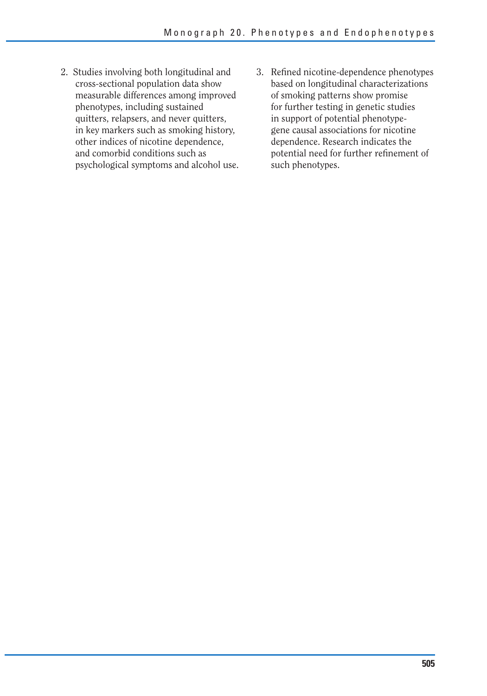- 2. Studies involving both longitudinal and cross-sectional population data show measurable differences among improved phenotypes, including sustained quitters, relapsers, and never quitters, in key markers such as smoking history, other indices of nicotine dependence, and comorbid conditions such as psychological symptoms and alcohol use.
- 3. Refined nicotine-dependence phenotypes based on longitudinal characterizations of smoking patterns show promise for further testing in genetic studies in support of potential phenotypegene causal associations for nicotine dependence. Research indicates the potential need for further refinement of such phenotypes.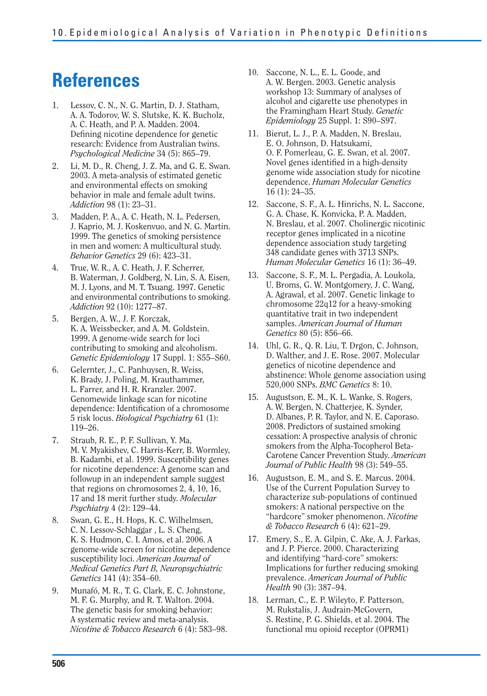## **References**

- 1. Lessov, C. N., N. G. Martin, D. J. Statham, A. A. Todorov, W. S. Slutske, K. K. Bucholz, A. C. Heath, and P. A. Madden. 2004. Defining nicotine dependence for genetic research: Evidence from Australian twins. *Psychological Medicine* 34 (5): 865–79.
- 2. Li, M. D., R. Cheng, J. Z. Ma, and G. E. Swan. 2003. A meta-analysis of estimated genetic and environmental effects on smoking behavior in male and female adult twins. *Addiction* 98 (1): 23–31.
- 3. Madden, P. A., A. C. Heath, N. L. Pedersen, J. Kaprio, M. J. Koskenvuo, and N. G. Martin. 1999. The genetics of smoking persistence in men and women: A multicultural study. *Behavior Genetics* 29 (6): 423–31.
- 4. True, W. R., A. C. Heath, J. F. Scherrer, B. Waterman, J. Goldberg, N. Lin, S. A. Eisen, M. J. Lyons, and M. T. Tsuang. 1997. Genetic and environmental contributions to smoking. *Addiction* 92 (10): 1277–87.
- 5. Bergen, A. W., J. F. Korczak, K. A. Weissbecker, and A. M. Goldstein. 1999. A genome-wide search for loci contributing to smoking and alcoholism. *Genetic Epidemiology* 17 Suppl. 1: S55–S60.
- 6. Gelernter, J., C. Panhuysen, R. Weiss, K. Brady, J. Poling, M. Krauthammer, L. Farrer, and H. R. Kranzler. 2007. Genomewide linkage scan for nicotine dependence: Identification of a chromosome 5 risk locus. *Biological Psychiatry* 61 (1): 119–26.
- 7. Straub, R. E., P. F. Sullivan, Y. Ma, M. V. Myakishev, C. Harris-Kerr, B. Wormley, B. Kadambi, et al. 1999. Susceptibility genes for nicotine dependence: A genome scan and followup in an independent sample suggest that regions on chromosomes 2, 4, 10, 16, 17 and 18 merit further study. *Molecular Psychiatry* 4 (2): 129–44.
- 8. Swan, G. E., H. Hops, K. C. Wilhelmsen, C. N. Lessov-Schlaggar , L. S. Cheng, K. S. Hudmon, C. I. Amos, et al. 2006. A genome-wide screen for nicotine dependence susceptibility loci. *American Journal of Medical Genetics Part B, Neuropsychiatric Genetics* 141 (4): 354–60.
- 9. Munafó, M. R., T. G. Clark, E. C. Johnstone, M. F. G. Murphy, and R. T. Walton. 2004. The genetic basis for smoking behavior: A systematic review and meta-analysis. *Nicotine & Tobacco Research* 6 (4): 583–98.
- 10. Saccone, N. L., E. L. Goode, and A. W. Bergen. 2003. Genetic analysis workshop 13: Summary of analyses of alcohol and cigarette use phenotypes in the Framingham Heart Study. *Genetic Epidemiology* 25 Suppl. 1: S90–S97.
- 11. Bierut, L. J., P. A. Madden, N. Breslau, E. O. Johnson, D. Hatsukami, O. F. Pomerleau, G. E. Swan, et al. 2007. Novel genes identified in a high-density genome wide association study for nicotine dependence. *Human Molecular Genetics*  16 (1): 24–35.
- 12. Saccone, S. F., A. L. Hinrichs, N. L. Saccone, G. A. Chase, K. Konvicka, P. A. Madden, N. Breslau, et al. 2007. Cholinergic nicotinic receptor genes implicated in a nicotine dependence association study targeting 348 candidate genes with 3713 SNPs. *Human Molecular Genetics* 16 (1): 36–49.
- 13. Saccone, S. F., M. L. Pergadia, A. Loukola, U. Broms, G. W. Montgomery, J. C. Wang, A. Agrawal, et al. 2007. Genetic linkage to chromosome 22q12 for a heavy-smoking quantitative trait in two independent samples. *American Journal of Human Genetics* 80 (5): 856–66.
- 14. Uhl, G. R., Q. R. Liu, T. Drgon, C. Johnson, D. Walther, and J. E. Rose. 2007. Molecular genetics of nicotine dependence and abstinence: Whole genome association using 520,000 SNPs. *BMC Genetics* 8: 10.
- 15. Augustson, E. M., K. L. Wanke, S. Rogers, A. W. Bergen, N. Chatterjee, K. Synder, D. Albanes, P. R. Taylor, and N. E. Caporaso. 2008. Predictors of sustained smoking cessation: A prospective analysis of chronic smokers from the Alpha-Tocopherol Beta-Carotene Cancer Prevention Study. *American Journal of Public Health* 98 (3): 549–55.
- 16. Augustson, E. M., and S. E. Marcus. 2004. Use of the Current Population Survey to characterize sub-populations of continued smokers: A national perspective on the "hardcore" smoker phenomenon. *Nicotine & Tobacco Research* 6 (4): 621–29.
- 17. Emery, S., E. A. Gilpin, C. Ake, A. J. Farkas, and J. P. Pierce. 2000. Characterizing and identifying "hard-core" smokers: Implications for further reducing smoking prevalence. *American Journal of Public Health* 90 (3): 387–94.
- 18. Lerman, C., E. P. Wileyto, F. Patterson, M. Rukstalis, J. Audrain-McGovern, S. Restine, P. G. Shields, et al. 2004. The functional mu opioid receptor (OPRM1)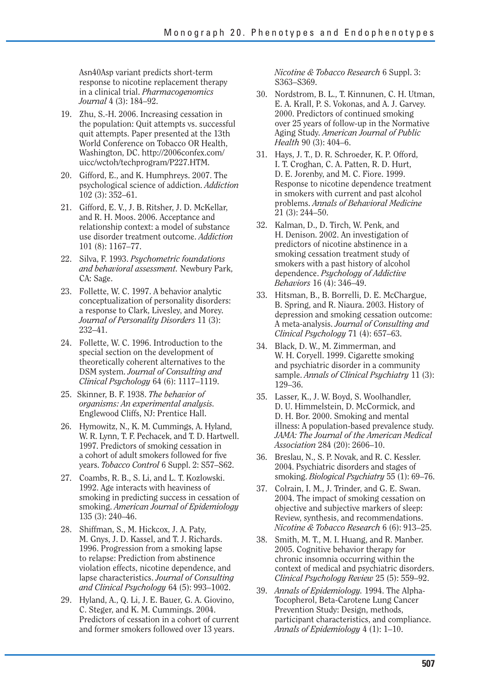Asn40Asp variant predicts short-term response to nicotine replacement therapy in a clinical trial. *Pharmacogenomics Journal* 4 (3): 184–92.

- 19. Zhu, S.-H. 2006. Increasing cessation in the population: Quit attempts vs. successful quit attempts. Paper presented at the 13th World Conference on Tobacco OR Health, Washington, DC. http://2006confex.com/ uicc/wctoh/techprogram/P227.HTM.
- 20. Gifford, E., and K. Humphreys. 2007. The psychological science of addiction. *Addiction*  102 (3): 352–61.
- 21. Gifford, E. V., J. B. Ritsher, J. D. McKellar, and R. H. Moos. 2006. Acceptance and relationship context: a model of substance use disorder treatment outcome. *Addiction*  101 (8): 1167–77.
- 22. Silva, F. 1993. *Psychometric foundations and behavioral assessment.* Newbury Park, CA: Sage.
- 23. Follette, W. C. 1997. A behavior analytic conceptualization of personality disorders: a response to Clark, Livesley, and Morey. *Journal of Personality Disorders* 11 (3): 232–41.
- 24. Follette, W. C. 1996. Introduction to the special section on the development of theoretically coherent alternatives to the DSM system. *Journal of Consulting and Clinical Psychology* 64 (6): 1117–1119.
- 25. Skinner, B. F. 1938. *The behavior of organisms: An experimental analysis.*  Englewood Cliffs, NJ: Prentice Hall.
- 26. Hymowitz, N., K. M. Cummings, A. Hyland, W. R. Lynn, T. F. Pechacek, and T. D. Hartwell. 1997. Predictors of smoking cessation in a cohort of adult smokers followed for five years. *Tobacco Control* 6 Suppl. 2: S57–S62.
- 27. Coambs, R. B., S. Li, and L. T. Kozlowski. 1992. Age interacts with heaviness of smoking in predicting success in cessation of smoking. *American Journal of Epidemiology*  135 (3): 240–46.
- 28. Shiffman, S., M. Hickcox, J. A. Paty, M. Gnys, J. D. Kassel, and T. J. Richards. 1996. Progression from a smoking lapse to relapse: Prediction from abstinence violation effects, nicotine dependence, and lapse characteristics. *Journal of Consulting and Clinical Psychology* 64 (5): 993–1002.
- 29. Hyland, A., Q. Li, J. E. Bauer, G. A. Giovino, C. Steger, and K. M. Cummings. 2004. Predictors of cessation in a cohort of current and former smokers followed over 13 years.

*Nicotine & Tobacco Research* 6 Suppl. 3: S363–S369.

- 30. Nordstrom, B. L., T. Kinnunen, C. H. Utman, E. A. Krall, P. S. Vokonas, and A. J. Garvey. 2000. Predictors of continued smoking over 25 years of follow-up in the Normative Aging Study. *American Journal of Public Health* 90 (3): 404–6.
- 31. Hays, J. T., D. R. Schroeder, K. P. Offord, I. T. Croghan, C. A. Patten, R. D. Hurt, D. E. Jorenby, and M. C. Fiore. 1999. Response to nicotine dependence treatment in smokers with current and past alcohol problems. *Annals of Behavioral Medicine*  21 (3): 244–50.
- 32. Kalman, D., D. Tirch, W. Penk, and H. Denison. 2002. An investigation of predictors of nicotine abstinence in a smoking cessation treatment study of smokers with a past history of alcohol dependence. *Psychology of Addictive Behaviors* 16 (4): 346–49.
- 33. Hitsman, B., B. Borrelli, D. E. McChargue, B. Spring, and R. Niaura. 2003. History of depression and smoking cessation outcome: A meta-analysis. *Journal of Consulting and Clinical Psychology* 71 (4): 657–63.
- 34. Black, D. W., M. Zimmerman, and W. H. Coryell. 1999. Cigarette smoking and psychiatric disorder in a community sample. *Annals of Clinical Psychiatry* 11 (3): 129–36.
- 35. Lasser, K., J. W. Boyd, S. Woolhandler, D. U. Himmelstein, D. McCormick, and D. H. Bor. 2000. Smoking and mental illness: A population-based prevalence study. *JAMA: The Journal of the American Medical Association* 284 (20): 2606–10.
- 36. Breslau, N., S. P. Novak, and R. C. Kessler. 2004. Psychiatric disorders and stages of smoking. *Biological Psychiatry* 55 (1): 69–76.
- 37. Colrain, I. M., J. Trinder, and G. E. Swan. 2004. The impact of smoking cessation on objective and subjective markers of sleep: Review, synthesis, and recommendations. *Nicotine & Tobacco Research* 6 (6): 913–25.
- 38. Smith, M. T., M. I. Huang, and R. Manber. 2005. Cognitive behavior therapy for chronic insomnia occurring within the context of medical and psychiatric disorders. *Clinical Psychology Review* 25 (5): 559–92.
- 39. *Annals of Epidemiology.* 1994. The Alpha-Tocopherol, Beta-Carotene Lung Cancer Prevention Study: Design, methods, participant characteristics, and compliance. *Annals of Epidemiology* 4 (1): 1–10.